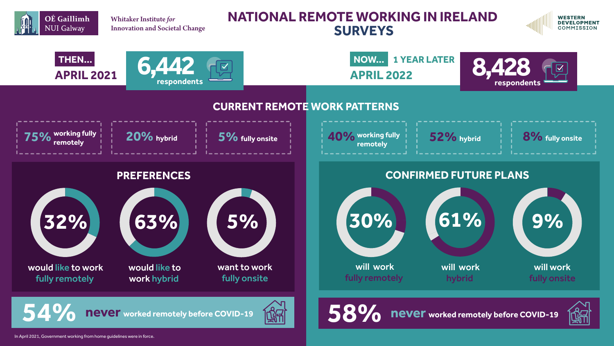# **NATIONAL REMOTE WORKING IN IRELAND SURVEYS**















Whitaker Institute *for* Innovation and Societal Change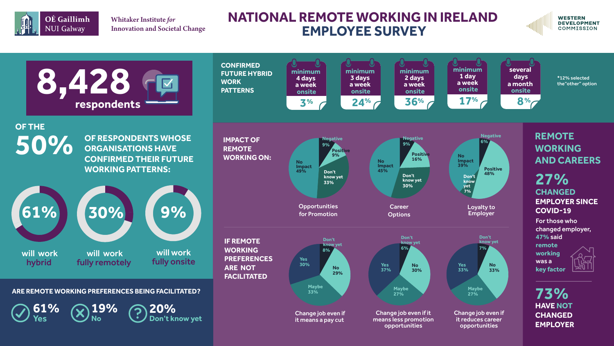# **NATIONAL REMOTE WORKING IN IRELAND EMPLOYEE SURVEY**



Whitaker Institute *for* Innovation and Societal Change



#### **WESTERN DEVELOPMENT COMMISSION**